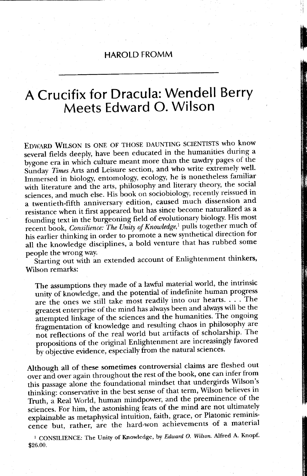## **HAROLD FROMM**

## A Crucifix for Dracula: Wendell Berry Meets Edward O. Wilson

EDWARD WILSON IS ONE OF THOSE DAUNTING SCIENTISTS who know several fields deeply, have been educated in the humanities during a bygone era in which culture meant more than the tawdry pages of the Sunday Times Arts and Leisure section, and who write extremely well. Immersed in biology, entomology, ecology, he is nonetheless familiar with literature and the arts, philosophy and literary theory, the social sciences, and much else. His book on sociobiology, recently reissued in a twentieth-fifth anniversary edition, caused much dissension and resistance when it first appeared but has since become naturalized as a founding text in the burgeoning field of evolutionary biology. His most recent book, Consilience: The Unity of Knowledge,<sup>1</sup> pulls together much of his earlier thinking in order to promote a new synthetical direction for all the knowledge disciplines, a bold venture that has rubbed some people the wrong way.

Starting out with an extended account of Enlightenment thinkers, Wilson remarks:

The assumptions they made of a lawful material world, the intrinsic unity of knowledge, and the potential of indefinite human progress are the ones we still take most readily into our hearts. . . . The greatest enterprise of the mind has always been and always will be the attempted linkage of the sciences and the humanities. The ongoing fragmentation of knowledge and resulting chaos in philosophy are not reflections of the real world but artifacts of scholarship. The propositions of the original Enlightenment are increasingly favored by objective evidence, especially from the natural sciences.

Although all of these sometimes controversial claims are fleshed out over and over again throughout the rest of the book, one can infer from this passage alone the foundational mindset that undergirds Wilson's thinking: conservative in the best sense of that term, Wilson believes in Truth, a Real World, human mindpower, and the preeminence of the sciences. For him, the astonishing feats of the mind are not ultimately explainable as metaphysical intuition, faith, grace, or Platonic reminiscence but, rather, are the hard-won achievements of a material

<sup>1</sup> CONSILIENCE: The Unity of Knowledge, by Edward O. Wilson. Alfred A. Knopf. \$26.00.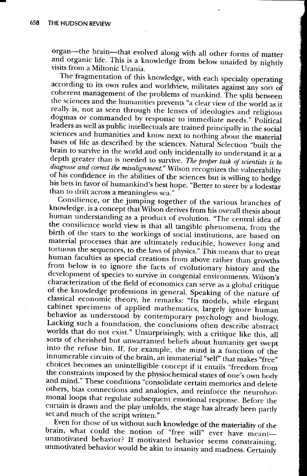organ-the brain-that evolved along with all other forms of matter and organic life. This is a knowledge from below unaided by nightly visits from a Miltonic Urania.

The fragmentation of this knowledge, with each specialty operating according to its own rules and worldview, militates against any sort of coherent management of the problems of mankind. The split between the sciences and the humanities prevents "a clear view of the world as it really is, not as seen through the lenses of ideologies and religious dogmas or commanded by response to immediate needs." Political leaders as well as public intellectuals are trained principally in the social sciences and humanities and know next to nothing about the material bases of life as described by the sciences. Natural Selection "built the brain to survive in the world and only incidentally to understand it at a depth greater than is needed to survive. The proper task of scientists is to diagnose and correct the misalignment." Wilson recognizes the vulnerability of his confidence in the abilities of the sciences but is willing to hedge his bets in favor of humankind's best hope. "Better to steer by a lodestar than to drift across a meaningless sea."

Consilience, or the jumping together of the various branches of knowledge, is a concept that Wilson derives from his overall thesis about human understanding as a product of evolution. "The central idea of the consilience world view is that all tangible phenomena, from the birth of the stars to the workings of social institutions, are based on material processes that are ultimately reducible, however long and tortuous the sequences, to the laws of physics." This means that to treat human faculties as special creations from above rather than growths from below is to ignore the facts of evolutionary history and the development of species to survive in congenial environments. Wilson's characterization of the field of economics can serve as a global critique of the knowledge professions in general. Speaking of the nature of classical economic theory, he remarks: "Its models, while elegant cabinet specimens of applied mathematics, largely ignore human behavior as understood by contemporary psychology and biology. Lacking such a foundation, the conclusions often describe abstract worlds that do not exist." Unsurprisingly, with a critique like this, all sorts of cherished but unwarranted beliefs about humanity get swept into the refuse bin. If, for example, the mind is a function of the innumerable circuits of the brain, an immaterial "self" that makes "free" choices becomes an unintelligible concept if it entails "freedom from the constraints imposed by the physiochemical states of one's own body and mind." These conditions "consolidate certain memories and delete others, bias connections and analogies, and reinforce the neurohormonal loops that regulate subsequent emotional response. Before the curtain is drawn and the play unfolds, the stage has already been partly set and much of the script written."

Even for those of us without such knowledge of the materiality of the brain, what could the notion of "free will" ever have meantunmotivated behavior? If motivated behavior seems constraining, unmotivated behavior would be akin to insanity and madness. Certainly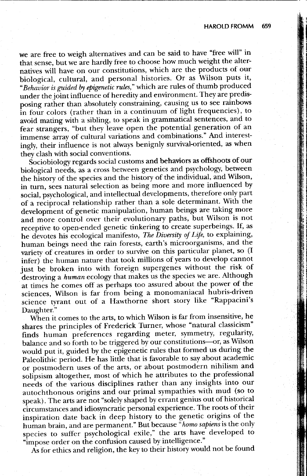E ' h i

Fi KI

H:i ti' i

llii freisin freisin.<br>Liittymäinen freisin freisin.<br>Liittymäinen freisin freisin.

[1| HI [{:

iiri ii:i

It, i

 $\mathbb{R}$  :

we are free to weigh alternatives and can be said to have "free will" in that sense, but we are hardly free to choose how much weight the alternatives will have on our constitutions, which are the products of our biological, cultural, and personal histories. Or as Wilson puts it, "Behavior is guided by epigenetic rules," which are rules of thumb produced under the joint influence of heredity and environment. They are predisposing rather than absolutely constraining, causing us to see rainbows in four colors (rather than in a continuum of light frequencies), to avoid mating with a sibling, to speak in grammatical sentences, and to fear strangers, "but they leave open the potential generation of an immense array of cultural variations and combinations." And interestingly, their influence is not always benignly survival-oriented, as when they clash with social conventions.

Sociobiology regards social customs and behaviors as offshoots of our biological needs, as a cross between genetics and psychology, between the history of the species and the history of the individual, and Wilson, in turn, sees natural selection as being more and more influenced by social, psychological, and intellectual developments, therefore only part of a reciprocal relationship rather than a sole determinant. With the development of genetic manipulation, human beings are taking more and more control over their evolutionary paths, but Wilson is not receptive to open-ended genetic tinkering to create superbeings.. If, as he devotes his ecological manifesto, The Diversity of Life, to explaining, human beings need the rain forests, earth's microorganisms, and the variety of creatures in order to survive on this particular planet, so (I infer) the human nature that took millions of years to develop cannot just be broken into with foreign supergenes without the risk of destroying a human ecology that makes us the species we are. Although at times he comes off as perhaps too assured about the power of the sciences, Wilson is far fiom being a monomaniacal hubris-driven science tyrant out of a Hawthorne short story like "Rappacini's Daughter."

When it comes to the arts, to which Wilson is far from insensitive, he shares the principles of Frederick Turner, whose "natural classicism" finds human preferences regarding meter, symmetry, regularity, balance and so forth to be triggered by our constitutions-or, as Wilson would put it, guided by the epigenetic rules that formed us during the Paleolithic period. He has little that is favorable to say about academic or postmodern uses of the arts, or about postmodern nihilism and solipsism altogether, most of which he attributes to the professional needs of the various disciplines rather than any insights into our autochthonous origins and our primal sympathies with mud (so to speak). The arts are not "solely shaped by errant genius out of historical c^ircumstarrces and idiosyncratic personal experience. The roots of their inspiration date back in deep history to the genetic origins of the human brain, and are permanent." But because " homo sapiens is the only species to suffer psychological exile," the arts have developed to "impose order on the confusion caused by intelligence."

apose order on the comusion caused by michigence.<br>As for ethics and religion, the key to their history would not be found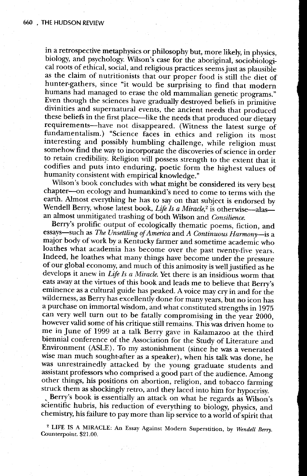in a retrospective metaphysics or philosophy but, more likely, in physics, biology, and psychology. Wilson's case for the aboriginal, sociobiological roots of ethical, social, and religious practices seems just as plausible as the claim of nutritionists that our proper food is still the diet of hunter-gathers, since "it would be surprising to find that modern humans had managed to erase the old mammalian genetic programs." Even though the sciences have gradually destroyed beliefs in primitive divinities and supernatural events, the ancient needs that produced these beliefs in the first place-like the needs that produced our dietary requirements-have not disappeared. (Witness the latest surge of Exercisementalism.) "Science faces in ethics and religion its most interesting and possibly humbling challenge, while religion must somehow find the way to incorporate the discoveries of science in order to rerain credibility. Religion will possess strength to the extent that it codifies and puts into enduring, poetic form the highest values of humanity consistent with empirical knowledge."

Wilson's book concludes with what might be considered its very best chapter-on ecology and humankind's need to come to terms with the earth. Almost everything he has to say on that subject is endorsed by Wendell Berry, whose latest book, Life Is a Miracle,<sup>2</sup> is otherwise-alasan almost unmitigated trashing of both Wilson and Consilience.

Berry's prolific output of ecologically thematic poems, fiction, and essays-such as The Unsettling of America and A Continuous Harmony-is a major body of work by a Kentucky farmer and sometime academic who loathes what academia has become over the past twenty-five years. Indeed, he loathes what many things have become under the pressure of our global economy, and much of this animosity is well justified as he develops it anew in Life Is a Miracle. Yet there is an insidious worm that eats away at the virtues of this book and leads me to believe that Berry's eminence as a cultural guide has peaked. A voice may cry in and for the wilderness, as Berry has excellently done for many years, but no icon has a purchase on immortal wisdom, and what constituted strengths in 1975 can very well turn out to be fatally compromising in the year 2000, however valid some of his critique still remains. This was driven home to me in June of 1999 at a talk Berry gave in Kalamazoo at the third. biennial conference of the Association for the Study of Literature and Environment (ASLE). To my astonishment (since he was a venerated wise man much sought-after as a speaker), when his talk was done, he was unrestrainedly attacked by the young graduate students and assistant professors who comprised a good part of the audience. Among other things, his positions on abortion, religion, and tobacco farming struck them as shockingly retro, and they laced into him for hypocrisy.

Berry's book is essentially an attack on what he regards as Wilson's scientific hubris, his reduction of everything to biology, physics, and chemistry, his failure to pay more than lip service to a world of spirit that

<sup>2</sup> LIFE IS A MIRACLE: An Essay Against Modern Superstition, by Wendell Berry. Counterpoint. \$21.00.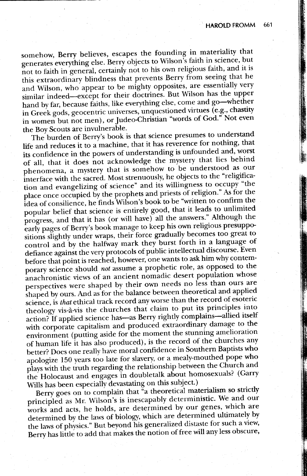somehow, Berry believes, escapes the founding in materiality that generates everything else. Berry objects to Wilson's faith in science, but not to faith in general, certainly not to his own religious faith, and it is this extraordinary blindness that prevents Berry from seeing that he and Wilson, who appear to be mighty opposites, are essentially very similar indeed-except for their doctrines. But Wilson has the upper hand by far, because faiths, like everything else, come and go-whether in Greek gods, geocentric universes, unquestioned virtues (e.g., chastity in women but not men), or Judeo-Christian "words of God." Not even the Boy Scouts are invulnerable.

The burden of Berry's book is that science presumes to understand life and reduces it to a machine, that it has reverence for nothing, that its confidence in the powers of understanding is unfounded and, worst of all, that it does not acknowledge the mystery that lies behind phenomena, a mystery that is somehow to be understood as our interface with the sacred. Most strenuously, he objects to the "religification and evangelizing of science" and its willingness to occupy "the place once occupied by the prophets and priests of religion." As for the idea of consilience, he finds Wilson's book to be "written to confirm the popular belief that science is entirely good, that it leads to unlimited progress, and that it has (or will have) all the answers." Although the early pages of Berry's book manage to keep his own religious presuppositions slightly under wraps, their force gradually becomes too great to control and by the halfway mark they burst forth in a language of defiance against the very protocols of public intellectual discourse. Even before that point is reached, however, one wants to ask him why contemporary science should not assume a prophetic role, as opposed to the anachronistic views of an ancient nomadic desert population whose perspectives were shaped by their own needs no less than ours are shaped by ours. And as for the balance between theoretical and applied science, is that ethical track record any worse than the record of esoteric theology vis-à-vis the churches that claim to put its principles into action? If applied science has-as Berry rightly complains-allied itself with corporate capitalism and produced extraordinary damage to the environment (putting aside for the moment the stunning amelioration of human life it has also produced), is the record of the churches any better? Does one really have moral confidence in Southern Baptists who apologize 150 years too late for slavery, or a mealy-mouthed pope who plays with the truth regarding the relationship between the Church and the Holocaust and engages in doubletalk about homosexuals? (Garry Wills has been especially devastating on this subject.)

Berry goes on to complain that "a theoretical materialism so strictly principled as Mr. Wilson's is inescapably deterministic. We and our works and acts, he holds, are determined by our genes, which are determined by the laws of biology, which are determined ultimately by the laws of physics." But beyond his generalized distaste for such a view, Berry has little to add that makes the notion of free will any less obscure,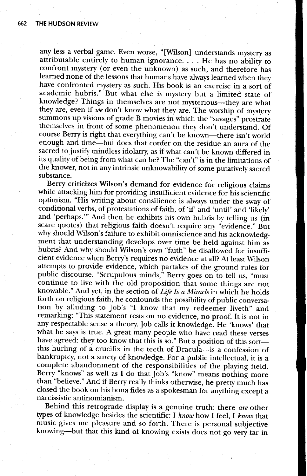any less a verbal game. Even worse, "[Wilson] understands mysrery as attributable entirely to human ignorance. . . . He has no ability to confront mystery (or even the unknown) as such, and therefore has learned none of the lessons that humans have always learned when they have confronted mystery as such. His book is an exercise in a sort of academic hubris." But what else is mystery but a limited state of knowledge? Things in themselves are not mysterious--- they are what they are, even if we don't know what they are. The worship of mystery summons up visions of grade B movies in which the "savages" prostrate themselves in front of some phenomenon they don't understand. of course Berry is right that everything can't be known-there isn't world enough and time-but does that confer on the residue an aura of the sacred to justify mindless idolatry, as if what can't be known differed in its quality of being from what can be? The "can't" is in the limitations of the knower, not in any intrinsic unknowability of some putatively sacred substance.

Berry criticizes wilson's demand for evidence for religious claims while attacking him for providing insufficient evidence for his scientific optimism. "His writing about consilience is always under the sway of conditional verbs, of protestations of faith, of 'if' and 'until' and 'likely' and 'perhaps.'" And then he exhibits his own hubris by telling us (in scare quotes) that religious faith doesn't require any "evidence." But why should Wilson's failure to exhibit omniscience and his acknowledgment that understanding develops over time be held against him as hubris? And why should Wilson's own "faith" be disallowed for insufficient evidence when Berry's requires no evidence at all? At least wilson attempts to provide evidence, which partakes of the ground rules for public discourse. "Scrupulous minds," Berry goes on to tell us, "must continue to live with the old proposition that some things are not knowable." And yet, in the section of Life Is a Miracle in which he holds forth on religious faith, he confounds the possibility of public conversation by alluding to Job's "I know that my redeemer liveth" and remarking: "This statement rests on no evidence, no proof. It is not in any respectable sense a theory. Job calls it knowledge. He 'knows' that what he says is true. A great many people who have read these verses have agreed: they too know that this is so." But a position of this sortthis hurling of a crucifix in the teeth of Dracula-is a confession of bankruptcy, not a surety of knowledge. For a public intellectual, it is a complete abandonment of the responsibilities of the playing field. Berry "knows" as well as I do that Job's "know" means nothing more than "believe." And if Berry really thinks otherwise, he pretty much has closed the book on his bona fides as a spokesman for anything except a narcissistic antinomianism.

Behind this retrograde display is a genuine truth: there are other types of knowledge besides the scientific: I know how I feel, I know that music gives me pleasure and so forth. There is personal subjective knowing-but that this kind of knowing exiss does not go very far in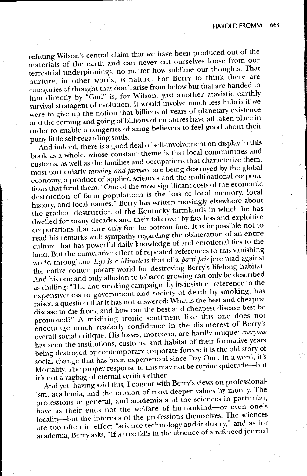refuting Wilson's central claim that we have been produced out of the materials of the earth and can never cut ourselves loose from our terrestrial underpinnings, no matter how sublime our thoughts. That nurture, in other words, is nature. For Berry to think there are categories of thought that don't arise from below but that are handed to him directly by "God" is, for Wilson, just another atavistic earthly survival stratagem of evolution. It would involve much less hubris if we were to give up the notion that billions of years of planetary existence and the coming and going of billions of creatures have all taken place in order to enable a congeries of smug believers to feel good about their puny little self-regarding souls.

And indeed, there is a good deal of self-involvement on display in this book as a whole, whose constant theme is that local communities and customs, as well as the families and occupations that characterize them, most particularly farming and farmers, are being destroyed by the global economy, a product of applied sciences and the multinational corporations that fund them. "One of the most significant costs of the economic destruction of farm populations is the loss of local memory, local history, and local names." Berry has written movingly elsewhere about the gradual destruction of the Kentucky farmlands in which he has dwelled for many decades and their takeover by faceless and exploitive corporations that care only for the bottom line. It is impossible not to read his remarks with sympathy regarding the obliteration of an entire culture that has powerful daily knowledge of and emotional ties to the land. But the cumulative effect of repeated references to this vanishing world throughout Life Is a Miracle is that of a parti pris jeremiad against the entire contemporary world for destroying Berry's lifelong habitat. And his one and only allusion to tobacco-growing can only be described as chilling: "The anti-smoking campaign, by its insistent reference to the expensiveness to government and society of death by smoking, has raised a question that it has not answered: What is the best and cheapest disease to die from, and how can the best and cheapest disease best be promoted?" A misfiring ironic sentiment like this one does not encourage much readerly confidence in the disinterest of Berry's overall social critique. His losses, moreover, are hardly unique: everyone has seen the institutions, customs, and habitat of their formative years being destroyed by contemporary corporate forces: it is the old story of social change that has been experienced since Day One. In a word, it's Mortality. The proper response to this may not be supine quietude-but it's not a ragbag of eternal verities either.

And yet, having said this, I concur with Berry's views on professionalism, academia, and the erosion of most deeper values by money. The professions in general, and academia and the sciences in particular, have as their ends not the welfare of humankind-or even one's locality-but the interests of the professions themselves. The sciences are too often in effect "science-technology-and-industry," and as for academia, Berry asks, "If a tree falls in the absence of a refereed journal